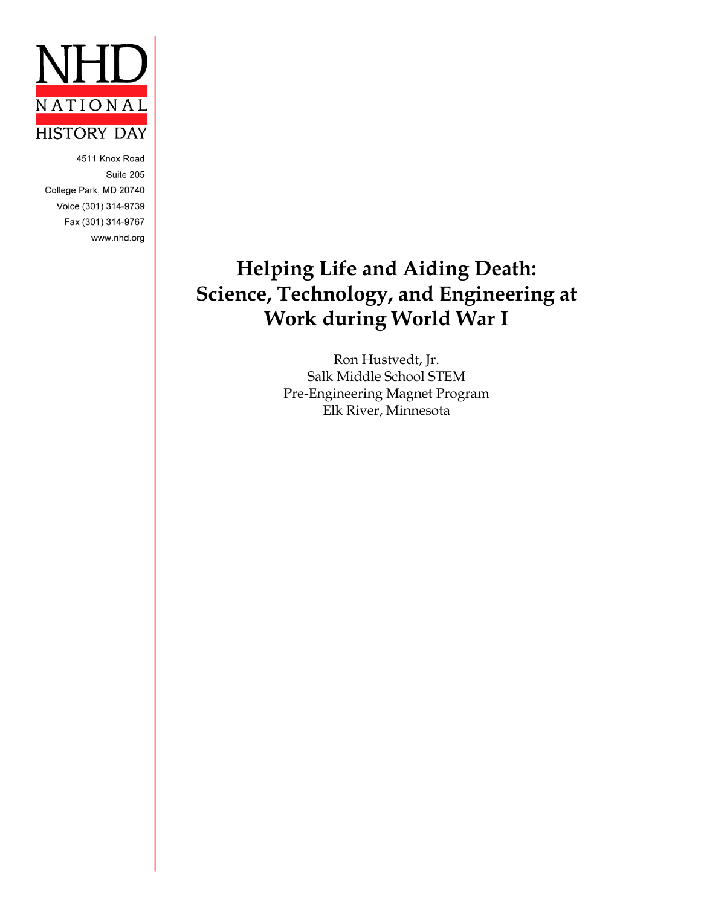

4511 Knox Road Suite 205 College Park, MD 20740 Voice (301) 314-9739 Fax (301) 314-9767 www.nhd.org

# **Helping Life and Aiding Death: Science, Technology, and Engineering at Work during World War I**

Ron Hustvedt, Jr. Salk Middle School STEM Pre-Engineering Magnet Program Elk River, Minnesota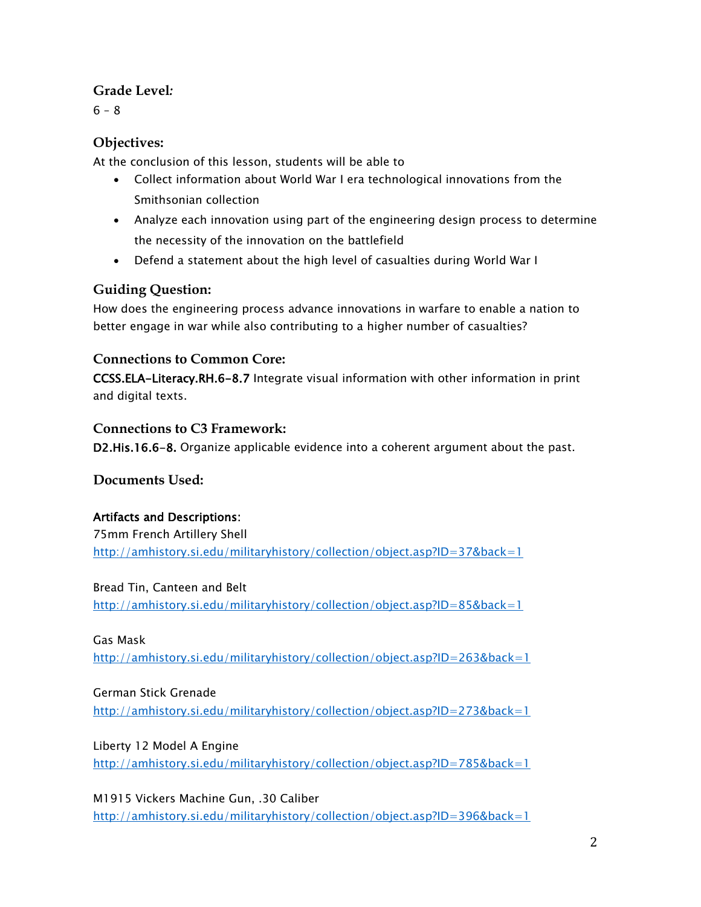### **Grade Level***:*

 $6 - 8$ 

## **Objectives:**

At the conclusion of this lesson, students will be able to

- Collect information about World War I era technological innovations from the Smithsonian collection
- Analyze each innovation using part of the engineering design process to determine the necessity of the innovation on the battlefield
- Defend a statement about the high level of casualties during World War I

## **Guiding Question:**

How does the engineering process advance innovations in warfare to enable a nation to better engage in war while also contributing to a higher number of casualties?

## **Connections to Common Core:**

CCSS.ELA-Literacy.RH.6-8.7 Integrate visual information with other information in print and digital texts.

## **Connections to C3 Framework:**

D2.His.16.6-8. Organize applicable evidence into a coherent argument about the past.

**Documents Used:**

## Artifacts and Descriptions:

75mm French Artillery Shell <http://amhistory.si.edu/militaryhistory/collection/object.asp?ID=37&back=1>

Bread Tin, Canteen and Belt <http://amhistory.si.edu/militaryhistory/collection/object.asp?ID=85&back=1>

Gas Mask <http://amhistory.si.edu/militaryhistory/collection/object.asp?ID=263&back=1>

## German Stick Grenade

<http://amhistory.si.edu/militaryhistory/collection/object.asp?ID=273&back=1>

## Liberty 12 Model A Engine

<http://amhistory.si.edu/militaryhistory/collection/object.asp?ID=785&back=1>

M1915 Vickers Machine Gun, .30 Caliber <http://amhistory.si.edu/militaryhistory/collection/object.asp?ID=396&back=1>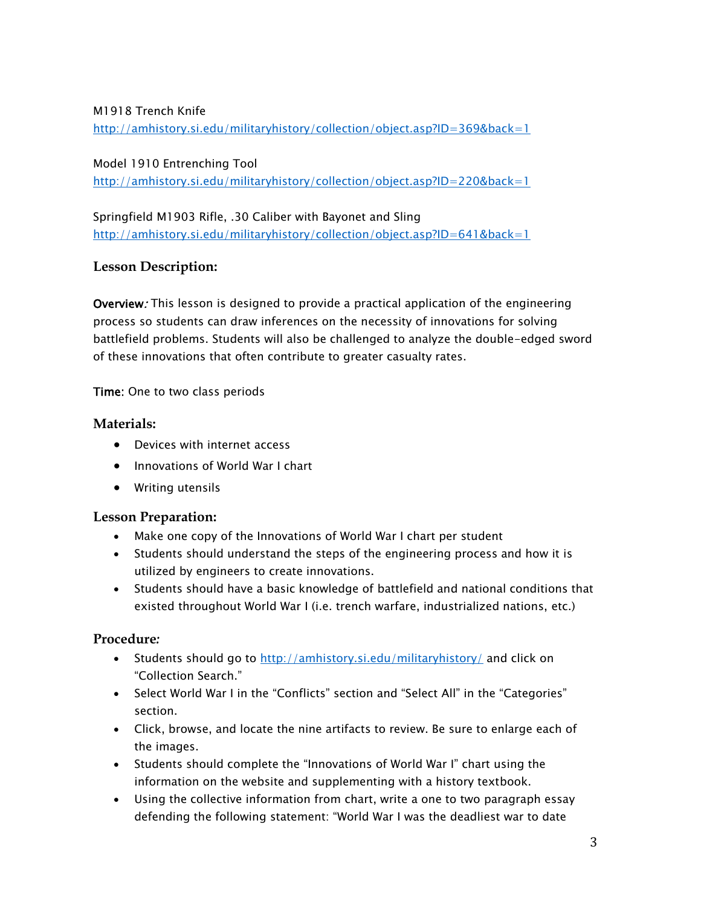#### M1918 Trench Knife

<http://amhistory.si.edu/militaryhistory/collection/object.asp?ID=369&back=1>

Model 1910 Entrenching Tool

<http://amhistory.si.edu/militaryhistory/collection/object.asp?ID=220&back=1>

Springfield M1903 Rifle, .30 Caliber with Bayonet and Sling <http://amhistory.si.edu/militaryhistory/collection/object.asp?ID=641&back=1>

### **Lesson Description:**

Overview: This lesson is designed to provide a practical application of the engineering process so students can draw inferences on the necessity of innovations for solving battlefield problems. Students will also be challenged to analyze the double-edged sword of these innovations that often contribute to greater casualty rates.

Time: One to two class periods

### **Materials:**

- Devices with internet access
- Innovations of World War I chart
- Writing utensils

### **Lesson Preparation:**

- Make one copy of the Innovations of World War I chart per student
- Students should understand the steps of the engineering process and how it is utilized by engineers to create innovations.
- Students should have a basic knowledge of battlefield and national conditions that existed throughout World War I (i.e. trench warfare, industrialized nations, etc.)

### **Procedure***:*

- Students should go to<http://amhistory.si.edu/militaryhistory/> and click on "Collection Search."
- Select World War I in the "Conflicts" section and "Select All" in the "Categories" section.
- Click, browse, and locate the nine artifacts to review. Be sure to enlarge each of the images.
- Students should complete the "Innovations of World War I" chart using the information on the website and supplementing with a history textbook.
- Using the collective information from chart, write a one to two paragraph essay defending the following statement: "World War I was the deadliest war to date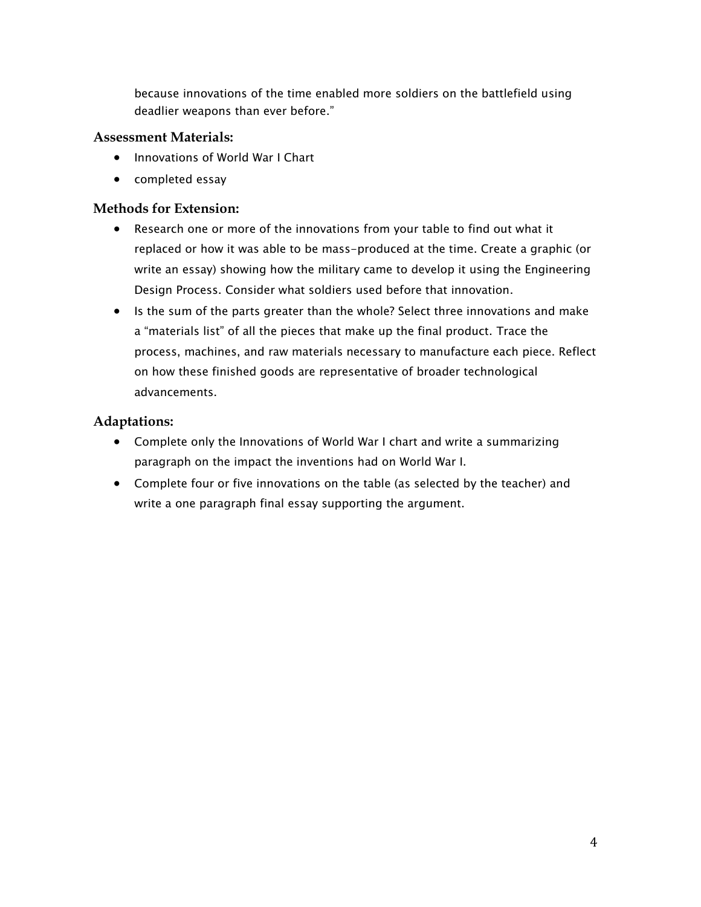because innovations of the time enabled more soldiers on the battlefield using deadlier weapons than ever before."

#### **Assessment Materials:**

- Innovations of World War I Chart
- completed essay

#### **Methods for Extension:**

- Research one or more of the innovations from your table to find out what it replaced or how it was able to be mass-produced at the time. Create a graphic (or write an essay) showing how the military came to develop it using the Engineering Design Process. Consider what soldiers used before that innovation.
- Is the sum of the parts greater than the whole? Select three innovations and make a "materials list" of all the pieces that make up the final product. Trace the process, machines, and raw materials necessary to manufacture each piece. Reflect on how these finished goods are representative of broader technological advancements.

### **Adaptations:**

- Complete only the Innovations of World War I chart and write a summarizing paragraph on the impact the inventions had on World War I.
- Complete four or five innovations on the table (as selected by the teacher) and write a one paragraph final essay supporting the argument.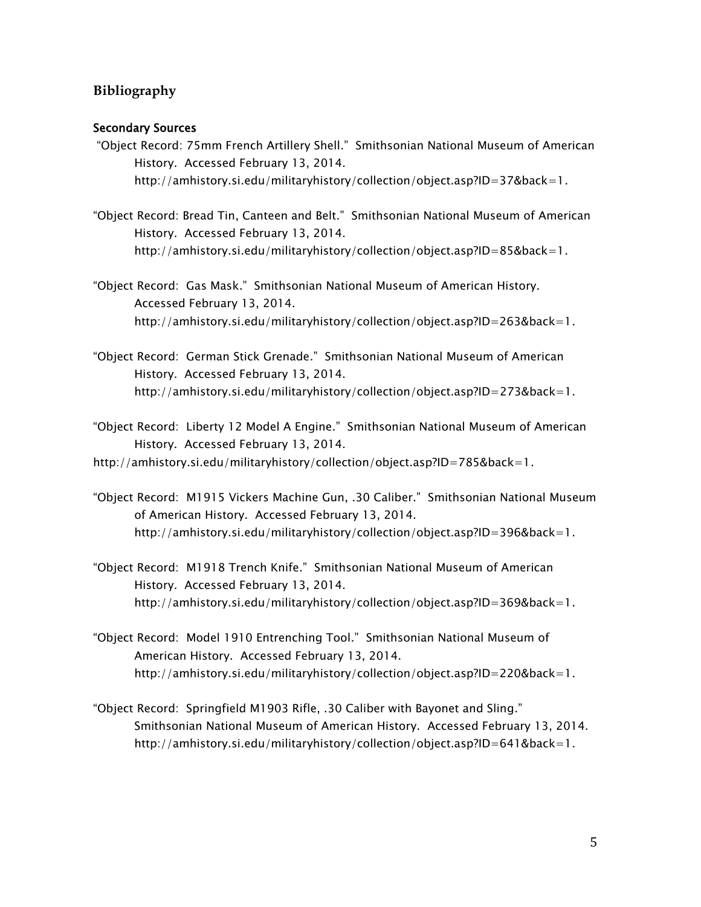#### **Bibliography**

#### Secondary Sources

- "Object Record: 75mm French Artillery Shell." Smithsonian National Museum of American History. Accessed February 13, 2014. http://amhistory.si.edu/militaryhistory/collection/object.asp?ID=37&back=1.
- "Object Record: Bread Tin, Canteen and Belt." Smithsonian National Museum of American History. Accessed February 13, 2014. http://amhistory.si.edu/militaryhistory/collection/object.asp?ID=85&back=1.
- "Object Record: Gas Mask." Smithsonian National Museum of American History. Accessed February 13, 2014. http://amhistory.si.edu/militaryhistory/collection/object.asp?ID=263&back=1.
- "Object Record: German Stick Grenade." Smithsonian National Museum of American History. Accessed February 13, 2014. http://amhistory.si.edu/militaryhistory/collection/object.asp?ID=273&back=1.
- "Object Record: Liberty 12 Model A Engine." Smithsonian National Museum of American History. Accessed February 13, 2014.
- http://amhistory.si.edu/militaryhistory/collection/object.asp?ID=785&back=1.
- "Object Record: M1915 Vickers Machine Gun, .30 Caliber." Smithsonian National Museum of American History. Accessed February 13, 2014. http://amhistory.si.edu/militaryhistory/collection/object.asp?ID=396&back=1.
- "Object Record: M1918 Trench Knife." Smithsonian National Museum of American History. Accessed February 13, 2014. http://amhistory.si.edu/militaryhistory/collection/object.asp?ID=369&back=1.
- "Object Record: Model 1910 Entrenching Tool." Smithsonian National Museum of American History. Accessed February 13, 2014. http://amhistory.si.edu/militaryhistory/collection/object.asp?ID=220&back=1.
- "Object Record: Springfield M1903 Rifle, .30 Caliber with Bayonet and Sling." Smithsonian National Museum of American History. Accessed February 13, 2014. http://amhistory.si.edu/militaryhistory/collection/object.asp?ID=641&back=1.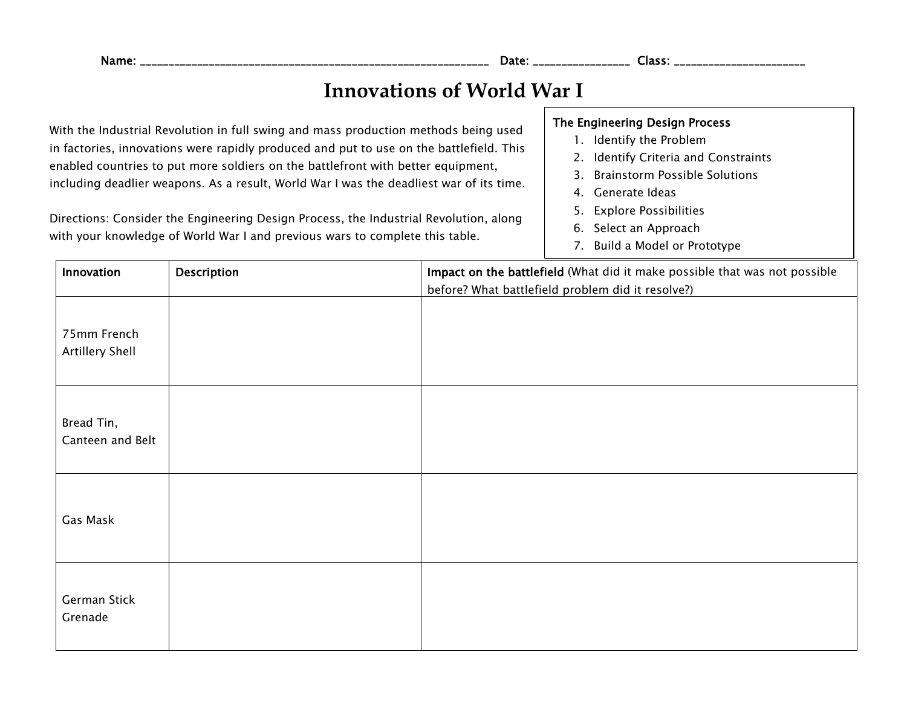# **Innovations of World War I**

With the Industrial Revolution in full swing and mass production methods being used in factories, innovations were rapidly produced and put to use on the battlefield. This enabled countries to put more soldiers on the battlefront with better equipment, including deadlier weapons. As a result, World War I was the deadliest war of its time.

Directions: Consider the Engineering Design Process, the Industrial Revolution, along with your knowledge of World War I and previous wars to complete this table.

#### The Engineering Design Process

- 1. Identify the Problem
- 2. Identify Criteria and Constraints
- 3. Brainstorm Possible Solutions
- 4. Generate Ideas
- 5. Explore Possibilities
- 6. Select an Approach
- 7. Build a Model or Prototype

| Innovation                     | Description | Impact on the battlefield (What did it make possible that was not possible<br>before? What battlefield problem did it resolve?) |
|--------------------------------|-------------|---------------------------------------------------------------------------------------------------------------------------------|
| 75mm French<br>Artillery Shell |             |                                                                                                                                 |
| Bread Tin,<br>Canteen and Belt |             |                                                                                                                                 |
| Gas Mask                       |             |                                                                                                                                 |
| German Stick<br>Grenade        |             |                                                                                                                                 |